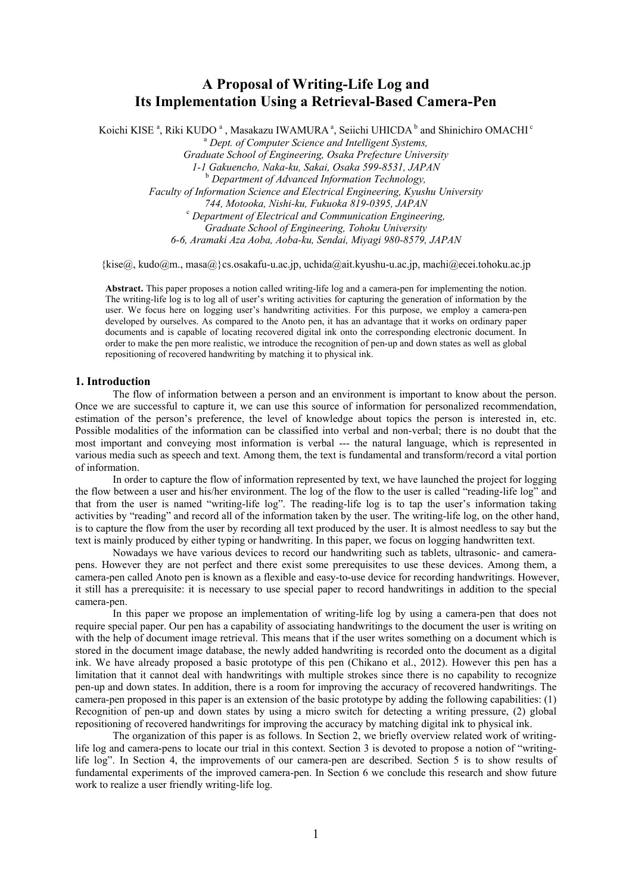# **A Proposal of Writing-Life Log and Its Implementation Using a Retrieval-Based Camera-Pen**

Koichi KISE<sup>a</sup>, Riki KUDO<sup>a</sup>, Masakazu IWAMURA<sup>a</sup>, Seiichi UHICDA<sup>b</sup> and Shinichiro OMACHI<sup>e</sup> <sup>a</sup> Dept. of Computer Science and Intelligent Systems, *Graduate School of Engineering, Osaka Prefecture University* 

*1-1 Gakuencho, Naka-ku, Sakai, Osaka 599-8531, JAPAN*  b  *Department of Advanced Information Technology, Faculty of Information Science and Electrical Engineering, Kyushu University 744, Motooka, Nishi-ku, Fukuoka 819-0395, JAPAN* <sup>c</sup>  *Department of Electrical and Communication Engineering, Graduate School of Engineering, Tohoku University 6-6, Aramaki Aza Aoba, Aoba-ku, Sendai, Miyagi 980-8579, JAPAN* 

 ${\{k\}}$ ise $@$ , kudo $@$ m., masa $@$ }cs.osakafu-u.ac.jp, uchida $@$ ait.kyushu-u.ac.jp, machi $@$ ecei.tohoku.ac.jp

**Abstract.** This paper proposes a notion called writing-life log and a camera-pen for implementing the notion. The writing-life log is to log all of user's writing activities for capturing the generation of information by the user. We focus here on logging user's handwriting activities. For this purpose, we employ a camera-pen developed by ourselves. As compared to the Anoto pen, it has an advantage that it works on ordinary paper documents and is capable of locating recovered digital ink onto the corresponding electronic document. In order to make the pen more realistic, we introduce the recognition of pen-up and down states as well as global repositioning of recovered handwriting by matching it to physical ink.

## **1. Introduction**

The flow of information between a person and an environment is important to know about the person. Once we are successful to capture it, we can use this source of information for personalized recommendation, estimation of the person's preference, the level of knowledge about topics the person is interested in, etc. Possible modalities of the information can be classified into verbal and non-verbal; there is no doubt that the most important and conveying most information is verbal --- the natural language, which is represented in various media such as speech and text. Among them, the text is fundamental and transform/record a vital portion of information.

In order to capture the flow of information represented by text, we have launched the project for logging the flow between a user and his/her environment. The log of the flow to the user is called "reading-life log" and that from the user is named "writing-life log". The reading-life log is to tap the user's information taking activities by "reading" and record all of the information taken by the user. The writing-life log, on the other hand, is to capture the flow from the user by recording all text produced by the user. It is almost needless to say but the text is mainly produced by either typing or handwriting. In this paper, we focus on logging handwritten text.

Nowadays we have various devices to record our handwriting such as tablets, ultrasonic- and camerapens. However they are not perfect and there exist some prerequisites to use these devices. Among them, a camera-pen called Anoto pen is known as a flexible and easy-to-use device for recording handwritings. However, it still has a prerequisite: it is necessary to use special paper to record handwritings in addition to the special camera-pen.

In this paper we propose an implementation of writing-life log by using a camera-pen that does not require special paper. Our pen has a capability of associating handwritings to the document the user is writing on with the help of document image retrieval. This means that if the user writes something on a document which is stored in the document image database, the newly added handwriting is recorded onto the document as a digital ink. We have already proposed a basic prototype of this pen (Chikano et al., 2012). However this pen has a limitation that it cannot deal with handwritings with multiple strokes since there is no capability to recognize pen-up and down states. In addition, there is a room for improving the accuracy of recovered handwritings. The camera-pen proposed in this paper is an extension of the basic prototype by adding the following capabilities: (1) Recognition of pen-up and down states by using a micro switch for detecting a writing pressure, (2) global repositioning of recovered handwritings for improving the accuracy by matching digital ink to physical ink.

The organization of this paper is as follows. In Section 2, we briefly overview related work of writinglife log and camera-pens to locate our trial in this context. Section 3 is devoted to propose a notion of "writinglife log". In Section 4, the improvements of our camera-pen are described. Section 5 is to show results of fundamental experiments of the improved camera-pen. In Section 6 we conclude this research and show future work to realize a user friendly writing-life log.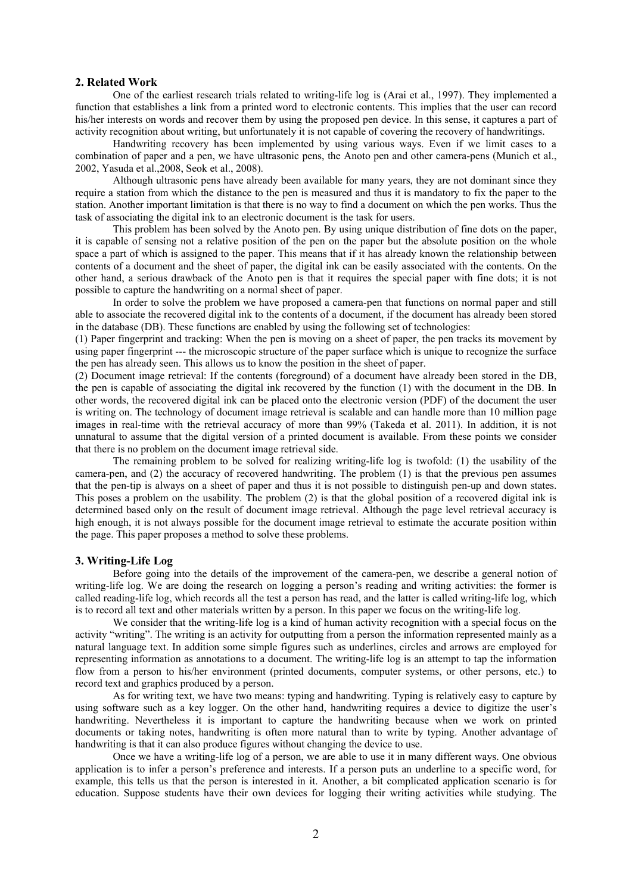# **2. Related Work**

 One of the earliest research trials related to writing-life log is (Arai et al., 1997). They implemented a function that establishes a link from a printed word to electronic contents. This implies that the user can record his/her interests on words and recover them by using the proposed pen device. In this sense, it captures a part of activity recognition about writing, but unfortunately it is not capable of covering the recovery of handwritings.

 Handwriting recovery has been implemented by using various ways. Even if we limit cases to a combination of paper and a pen, we have ultrasonic pens, the Anoto pen and other camera-pens (Munich et al., 2002, Yasuda et al.,2008, Seok et al., 2008).

 Although ultrasonic pens have already been available for many years, they are not dominant since they require a station from which the distance to the pen is measured and thus it is mandatory to fix the paper to the station. Another important limitation is that there is no way to find a document on which the pen works. Thus the task of associating the digital ink to an electronic document is the task for users.

 This problem has been solved by the Anoto pen. By using unique distribution of fine dots on the paper, it is capable of sensing not a relative position of the pen on the paper but the absolute position on the whole space a part of which is assigned to the paper. This means that if it has already known the relationship between contents of a document and the sheet of paper, the digital ink can be easily associated with the contents. On the other hand, a serious drawback of the Anoto pen is that it requires the special paper with fine dots; it is not possible to capture the handwriting on a normal sheet of paper.

 In order to solve the problem we have proposed a camera-pen that functions on normal paper and still able to associate the recovered digital ink to the contents of a document, if the document has already been stored in the database (DB). These functions are enabled by using the following set of technologies:

(1) Paper fingerprint and tracking: When the pen is moving on a sheet of paper, the pen tracks its movement by using paper fingerprint --- the microscopic structure of the paper surface which is unique to recognize the surface the pen has already seen. This allows us to know the position in the sheet of paper.

(2) Document image retrieval: If the contents (foreground) of a document have already been stored in the DB, the pen is capable of associating the digital ink recovered by the function (1) with the document in the DB. In other words, the recovered digital ink can be placed onto the electronic version (PDF) of the document the user is writing on. The technology of document image retrieval is scalable and can handle more than 10 million page images in real-time with the retrieval accuracy of more than 99% (Takeda et al. 2011). In addition, it is not unnatural to assume that the digital version of a printed document is available. From these points we consider that there is no problem on the document image retrieval side.

 The remaining problem to be solved for realizing writing-life log is twofold: (1) the usability of the camera-pen, and (2) the accuracy of recovered handwriting. The problem (1) is that the previous pen assumes that the pen-tip is always on a sheet of paper and thus it is not possible to distinguish pen-up and down states. This poses a problem on the usability. The problem (2) is that the global position of a recovered digital ink is determined based only on the result of document image retrieval. Although the page level retrieval accuracy is high enough, it is not always possible for the document image retrieval to estimate the accurate position within the page. This paper proposes a method to solve these problems.

# **3. Writing-Life Log**

 Before going into the details of the improvement of the camera-pen, we describe a general notion of writing-life log. We are doing the research on logging a person's reading and writing activities: the former is called reading-life log, which records all the test a person has read, and the latter is called writing-life log, which is to record all text and other materials written by a person. In this paper we focus on the writing-life log.

 We consider that the writing-life log is a kind of human activity recognition with a special focus on the activity "writing". The writing is an activity for outputting from a person the information represented mainly as a natural language text. In addition some simple figures such as underlines, circles and arrows are employed for representing information as annotations to a document. The writing-life log is an attempt to tap the information flow from a person to his/her environment (printed documents, computer systems, or other persons, etc.) to record text and graphics produced by a person.

 As for writing text, we have two means: typing and handwriting. Typing is relatively easy to capture by using software such as a key logger. On the other hand, handwriting requires a device to digitize the user's handwriting. Nevertheless it is important to capture the handwriting because when we work on printed documents or taking notes, handwriting is often more natural than to write by typing. Another advantage of handwriting is that it can also produce figures without changing the device to use.

 Once we have a writing-life log of a person, we are able to use it in many different ways. One obvious application is to infer a person's preference and interests. If a person puts an underline to a specific word, for example, this tells us that the person is interested in it. Another, a bit complicated application scenario is for education. Suppose students have their own devices for logging their writing activities while studying. The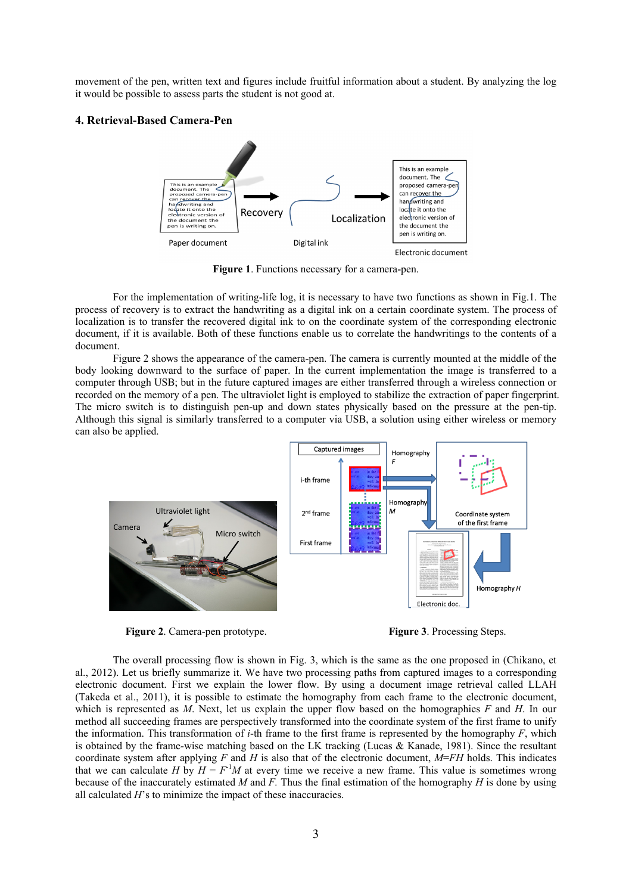movement of the pen, written text and figures include fruitful information about a student. By analyzing the log it would be possible to assess parts the student is not good at.

# **4. Retrieval-Based Camera-Pen**



**Figure 1**. Functions necessary for a camera-pen.

 For the implementation of writing-life log, it is necessary to have two functions as shown in Fig.1. The process of recovery is to extract the handwriting as a digital ink on a certain coordinate system. The process of localization is to transfer the recovered digital ink to on the coordinate system of the corresponding electronic document, if it is available. Both of these functions enable us to correlate the handwritings to the contents of a document.

 Figure 2 shows the appearance of the camera-pen. The camera is currently mounted at the middle of the body looking downward to the surface of paper. In the current implementation the image is transferred to a computer through USB; but in the future captured images are either transferred through a wireless connection or recorded on the memory of a pen. The ultraviolet light is employed to stabilize the extraction of paper fingerprint. The micro switch is to distinguish pen-up and down states physically based on the pressure at the pen-tip. Although this signal is similarly transferred to a computer via USB, a solution using either wireless or memory can also be applied.



**Figure 2**. Camera-pen prototype. **Figure 3**. Processing Steps.

 The overall processing flow is shown in Fig. 3, which is the same as the one proposed in (Chikano, et al., 2012). Let us briefly summarize it. We have two processing paths from captured images to a corresponding electronic document. First we explain the lower flow. By using a document image retrieval called LLAH (Takeda et al., 2011), it is possible to estimate the homography from each frame to the electronic document, which is represented as *M*. Next, let us explain the upper flow based on the homographies *F* and *H*. In our method all succeeding frames are perspectively transformed into the coordinate system of the first frame to unify the information. This transformation of *i*-th frame to the first frame is represented by the homography *F*, which is obtained by the frame-wise matching based on the LK tracking (Lucas & Kanade, 1981). Since the resultant coordinate system after applying  $F$  and  $H$  is also that of the electronic document,  $M=FH$  holds. This indicates that we can calculate *H* by  $H = F<sup>1</sup>M$  at every time we receive a new frame. This value is sometimes wrong because of the inaccurately estimated *M* and *F.* Thus the final estimation of the homography *H* is done by using all calculated *H*'s to minimize the impact of these inaccuracies.